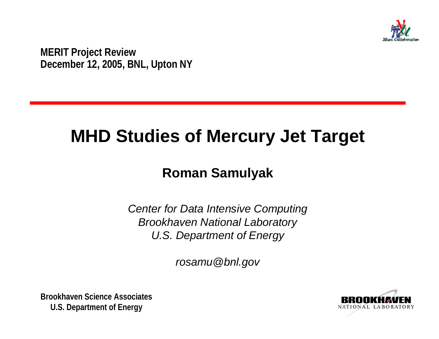

**MERIT Project Review December 12, 2005, BNL, Upton NY**

# **MHD Studies of Mercury Jet Target**

#### **Roman Samulyak**

*Center for Data Intensive Computing Brookhaven National Laboratory U.S. Department of Energy*

*rosamu@bnl.gov*

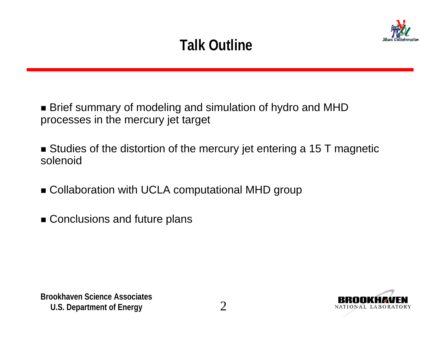# **Talk Outline**



■ Brief summary of modeling and simulation of hydro and MHD processes in the mercury jet target

■ Studies of the distortion of the mercury jet entering a 15 T magnetic solenoid

■ Collaboration with UCLA computational MHD group

■ Conclusions and future plans

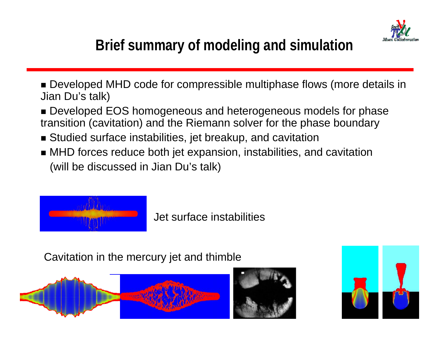

# **Brief summary of modeling and simulation**

- Developed MHD code for compressible multiphase flows (more details in Jian Du's talk)
- Developed EOS homogeneous and heterogeneous models for phase transition (cavitation) and the Riemann solver for the phase boundary
- Studied surface instabilities, jet breakup, and cavitation
- MHD forces reduce both jet expansion, instabilities, and cavitation (will be discussed in Jian Du's talk)



Jet surface instabilities

Cavitation in the mercury jet and thimble



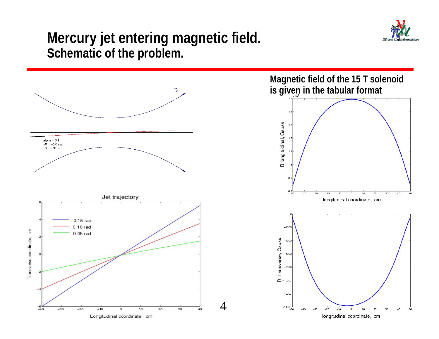

#### **Mercury jet entering magnetic field. Schematic of the problem.**

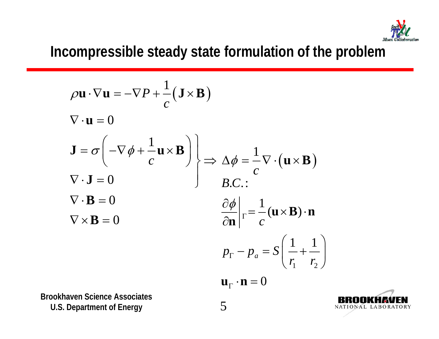

## **Incompressible steady state formulation of the problem**

$$
\rho \mathbf{u} \cdot \nabla \mathbf{u} = -\nabla P + \frac{1}{c} (\mathbf{J} \times \mathbf{B})
$$
  
\n
$$
\nabla \cdot \mathbf{u} = 0
$$
  
\n
$$
\mathbf{J} = \sigma \left( -\nabla \phi + \frac{1}{c} \mathbf{u} \times \mathbf{B} \right)
$$
  
\n
$$
\nabla \cdot \mathbf{J} = 0
$$
  
\n
$$
\nabla \cdot \mathbf{B} = 0
$$
  
\n
$$
\nabla \times \mathbf{B} = 0
$$
  
\n
$$
\nabla \times \mathbf{B} = 0
$$
  
\n
$$
\frac{\partial \phi}{\partial \mathbf{n}} \Big|_{\Gamma} = \frac{1}{c} (\mathbf{u} \times \mathbf{B}) \cdot \mathbf{n}
$$
  
\n
$$
p_{\Gamma} - p_{a} = S \left( \frac{1}{r_{1}} + \frac{1}{r_{2}} \right)
$$
  
\n
$$
\mathbf{u}_{\Gamma} \cdot \mathbf{n} = 0
$$

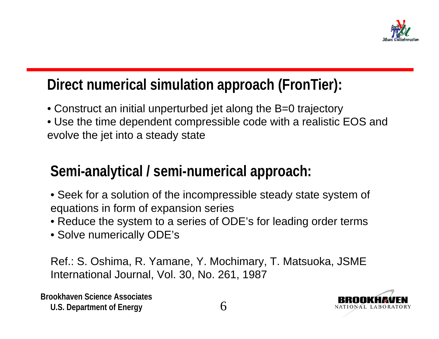

## **Direct numerical simulation approach (FronTier):**

- Construct an initial unperturbed jet along the B=0 trajectory
- Use the time dependent compressible code with a realistic EOS and evolve the jet into a steady state

## **Semi-analytical / semi-numerical approach:**

- Seek for a solution of the incompressible steady state system of equations in form of expansion series
- Reduce the system to a series of ODE's for leading order terms
- Solve numerically ODE's

Ref.: S. Oshima, R. Yamane, Y. Mochimary, T. Matsuoka, JSME International Journal, Vol. 30, No. 261, 1987

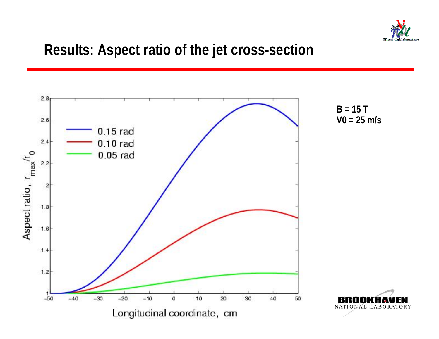

### **Results: Aspect ratio of the jet cross-section**

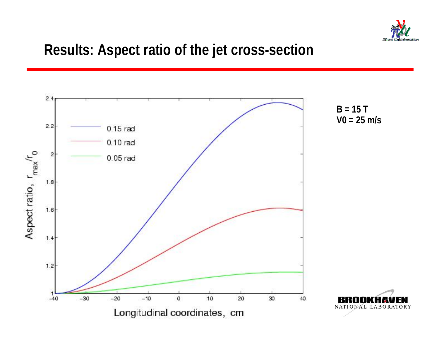

### **Results: Aspect ratio of the jet cross-section**

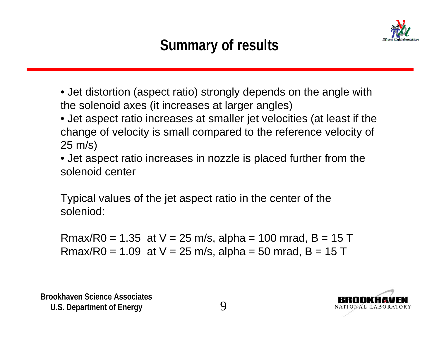

# **Summary of results**

- Jet distortion (aspect ratio) strongly depends on the angle with the solenoid axes (it increases at larger angles)
- Jet aspect ratio increases at smaller jet velocities (at least if the change of velocity is small compared to the reference velocity of 25 m/s)
- Jet aspect ratio increases in nozzle is placed further from the solenoid center

Typical values of the jet aspect ratio in the center of the soleniod:

Rmax/R0 = 1.35 at  $V = 25$  m/s, alpha = 100 mrad, B = 15 T Rmax/R0 = 1.09 at  $V = 25$  m/s, alpha = 50 mrad, B = 15 T

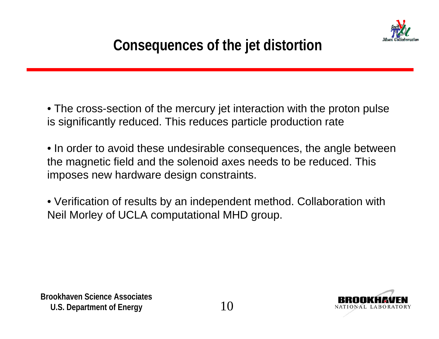

• The cross-section of the mercury jet interaction with the proton pulse is significantly reduced. This reduces particle production rate

• In order to avoid these undesirable consequences, the angle between the magnetic field and the solenoid axes needs to be reduced. This imposes new hardware design constraints.

• Verification of results by an independent method. Collaboration with Neil Morley of UCLA computational MHD group.

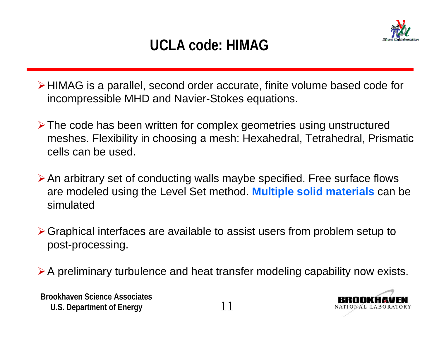## **UCLA code: HIMAG**

¾HIMAG is a parallel, second order accurate, finite volume based code for incompressible MHD and Navier-Stokes equations.

- ¾The code has been written for complex geometries using unstructured meshes. Flexibility in choosing a mesh: Hexahedral, Tetrahedral, Prismatic cells can be used.
- ¾An arbitrary set of conducting walls maybe specified. Free surface flows are modeled using the Level Set method. **Multiple solid materials** can be simulated
- ¾Graphical interfaces are available to assist users from problem setup to post-processing.
- ¾A preliminary turbulence and heat transfer modeling capability now exists.

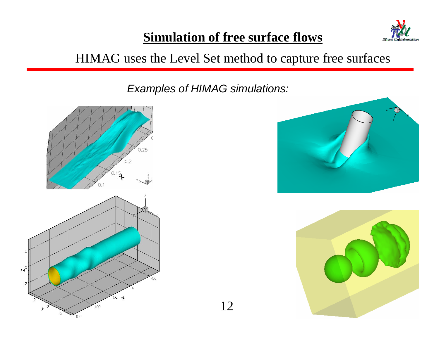

#### **Simulation of free surface flows**

#### HIMAG uses the Level Set method to capture free surfaces

*Examples of HIMAG simulations:*





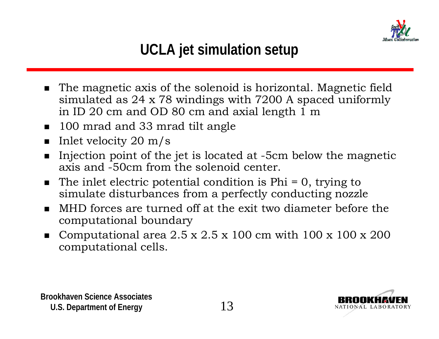

- $\blacksquare$  The magnetic axis of the solenoid is horizontal. Magnetic field simulated as 24 x 78 windings with 7200 A spaced uniformly in ID 20 cm and OD 80 cm and axial length 1 m
- 100 mrad and 33 mrad tilt angle
- $\blacksquare$  Inlet velocity 20 m/s
- $\blacksquare$  Injection point of the jet is located at -5cm below the magnetic axis and -50cm from the solenoid center.
- $\blacksquare$  The inlet electric potential condition is Phi = 0, trying to simulate disturbances from a perfectly conducting nozzle
- MHD forces are turned off at the exit two diameter before the computational boundary
- $\blacksquare$ Computational area  $2.5 \times 2.5 \times 100$  cm with  $100 \times 100 \times 200$ computational cells.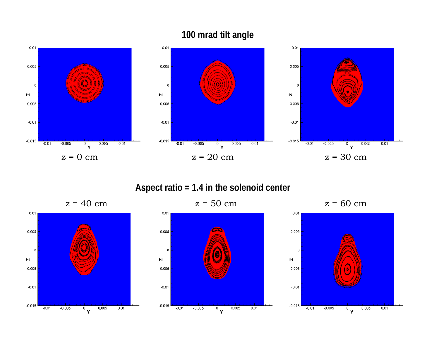

#### **100 mrad tilt angle**

**Aspect ratio = 1.4 in the solenoid center**

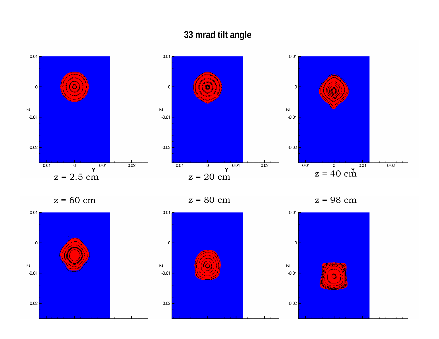#### **33 mrad tilt angle**



z = 60 cm

 $z = 80$  cm  $z = 98$  cm

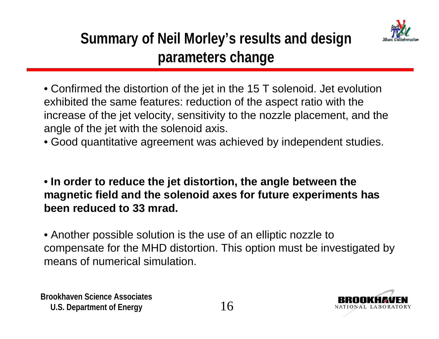

- Confirmed the distortion of the jet in the 15 T solenoid. Jet evolution exhibited the same features: reduction of the aspect ratio with the increase of the jet velocity, sensitivity to the nozzle placement, and the angle of the jet with the solenoid axis.
- Good quantitative agreement was achieved by independent studies.
- **In order to reduce the jet distortion, the angle between the magnetic field and the solenoid axes for future experiments has been reduced to 33 mrad.**
- Another possible solution is the use of an elliptic nozzle to compensate for the MHD distortion. This option must be investigated by means of numerical simulation.